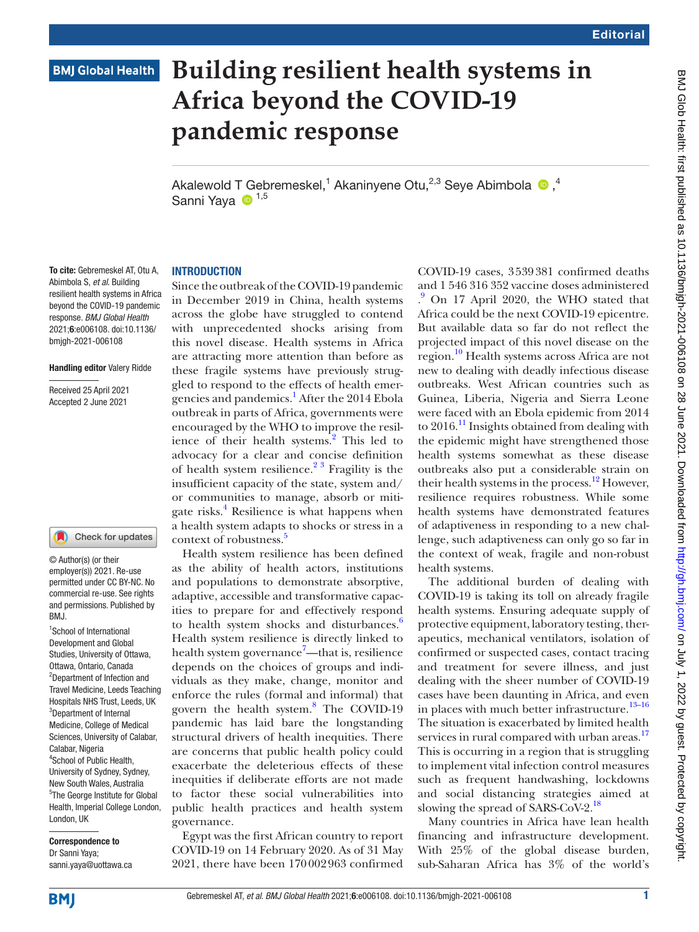# **BMJ Global Health**

# **Building resilient health systems in Africa beyond the COVID-19 pandemic response**

AkalewoldT Gebremeskel,<sup>1</sup> Akaninyene Otu,<sup>2,3</sup> Seye Abimbola  $\bullet$ ,<sup>4</sup> Sanni Yava <sup>1,5</sup>

# **INTRODUCTION**

To cite: Gebremeskel AT, Otu A, Abimbola S, *et al*. Building resilient health systems in Africa beyond the COVID-19 pandemic response. *BMJ Global Health* 2021;6:e006108. doi:10.1136/ bmjgh-2021-006108

#### Handling editor Valery Ridde

Received 25 April 2021 Accepted 2 June 2021

#### Check for updates

© Author(s) (or their employer(s)) 2021. Re-use permitted under CC BY-NC. No commercial re-use. See rights and permissions. Published by BMJ.

1 School of International Development and Global Studies, University of Ottawa, Ottawa, Ontario, Canada 2 Department of Infection and Travel Medicine, Leeds Teaching Hospitals NHS Trust, Leeds, UK <sup>3</sup>Department of Internal Medicine, College of Medical Sciences, University of Calabar, Calabar, Nigeria 4 School of Public Health, University of Sydney, Sydney, New South Wales, Australia 5 The George Institute for Global Health, Imperial College London, London, UK

Correspondence to Dr Sanni Yaya; sanni.yaya@uottawa.ca

Since the outbreak of the COVID-19 pandemic in December 2019 in China, health systems across the globe have struggled to contend with unprecedented shocks arising from this novel disease. Health systems in Africa are attracting more attention than before as these fragile systems have previously struggled to respond to the effects of health emergencies and pandemics.<sup>1</sup> After the 2014 Ebola outbreak in parts of Africa, governments were encouraged by the WHO to improve the resil-ience of their health systems.<sup>[2](#page-3-1)</sup> This led to advocacy for a clear and concise definition of health system resilience.<sup>23</sup> Fragility is the insufficient capacity of the state, system and/ or communities to manage, absorb or mitigate risks.<sup>4</sup> Resilience is what happens when a health system adapts to shocks or stress in a context of robustness.<sup>[5](#page-3-3)</sup>

Health system resilience has been defined as the ability of health actors, institutions and populations to demonstrate absorptive, adaptive, accessible and transformative capacities to prepare for and effectively respond to health system shocks and disturbances.<sup>6</sup> Health system resilience is directly linked to health system governance<sup>[7](#page-3-5)</sup>—that is, resilience depends on the choices of groups and individuals as they make, change, monitor and enforce the rules (formal and informal) that govern the health system.<sup>8</sup> The COVID-19 pandemic has laid bare the longstanding structural drivers of health inequities. There are concerns that public health policy could exacerbate the deleterious effects of these inequities if deliberate efforts are not made to factor these social vulnerabilities into public health practices and health system governance.

Egypt was the first African country to report COVID-19 on 14 February 2020. As of 31 May 2021, there have been 170002963 confirmed

COVID-19 cases, 3539381 confirmed deaths and 1 546 316 352 vaccine doses administered . [9](#page-3-7) On 17 April 2020, the WHO stated that Africa could be the next COVID-19 epicentre. But available data so far do not reflect the projected impact of this novel disease on the region.[10](#page-3-8) Health systems across Africa are not new to dealing with deadly infectious disease outbreaks. West African countries such as Guinea, Liberia, Nigeria and Sierra Leone were faced with an Ebola epidemic from 2014 to  $2016$ .<sup>[11](#page-3-9)</sup> Insights obtained from dealing with the epidemic might have strengthened those health systems somewhat as these disease outbreaks also put a considerable strain on their health systems in the process.<sup>12</sup> However, resilience requires robustness. While some health systems have demonstrated features of adaptiveness in responding to a new challenge, such adaptiveness can only go so far in the context of weak, fragile and non-robust health systems.

The additional burden of dealing with COVID-19 is taking its toll on already fragile health systems. Ensuring adequate supply of protective equipment, laboratory testing, therapeutics, mechanical ventilators, isolation of confirmed or suspected cases, contact tracing and treatment for severe illness, and just dealing with the sheer number of COVID-19 cases have been daunting in Africa, and even in places with much better infrastructure.<sup>13-16</sup> The situation is exacerbated by limited health services in rural compared with urban areas.<sup>[17](#page-4-1)</sup> This is occurring in a region that is struggling to implement vital infection control measures such as frequent handwashing, lockdowns and social distancing strategies aimed at slowing the spread of SARS-CoV-2.<sup>[18](#page-4-2)</sup>

Many countries in Africa have lean health financing and infrastructure development. With 25% of the global disease burden, sub-Saharan Africa has 3% of the world's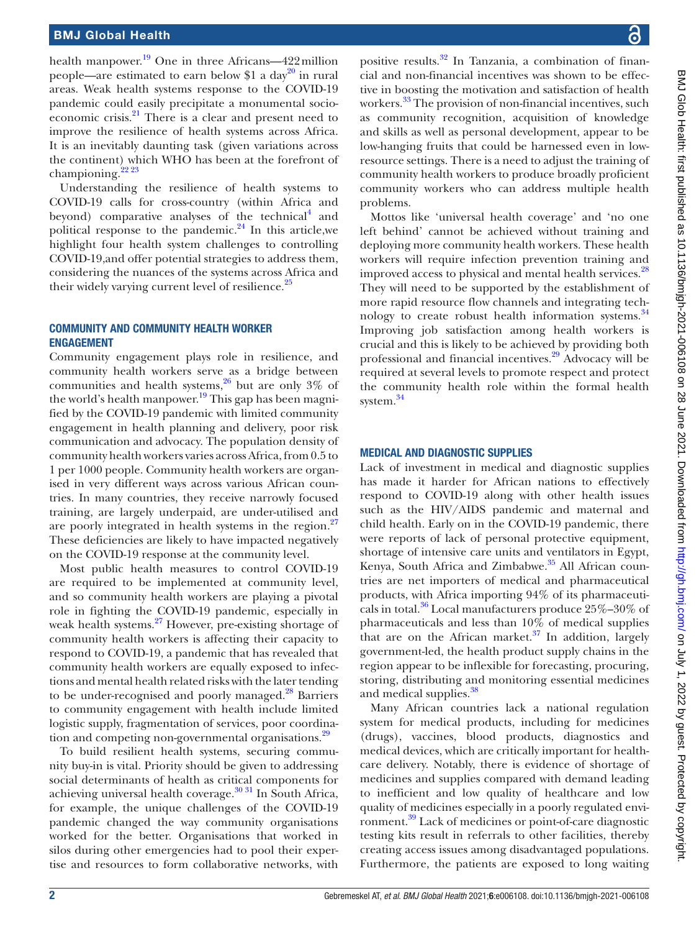health manpower. $^{19}$  One in three Africans—422 million people—are estimated to earn below \$1 a day<sup>20</sup> in rural areas. Weak health systems response to the COVID-19 pandemic could easily precipitate a monumental socioeconomic crisis. $^{21}$  $^{21}$  $^{21}$  There is a clear and present need to improve the resilience of health systems across Africa. It is an inevitably daunting task (given variations across the continent) which WHO has been at the forefront of championing. $22\frac{22\frac{23}{2}}{2}$ 

Understanding the resilience of health systems to COVID-19 calls for cross-country (within Africa and beyond) comparative analyses of the technical<sup>[4](#page-3-2)</sup> and political response to the pandemic. $24$  In this article, we highlight four health system challenges to controlling COVID-19,and offer potential strategies to address them, considering the nuances of the systems across Africa and their widely varying current level of resilience.<sup>25</sup>

# COMMUNITY AND COMMUNITY HEALTH WORKER ENGAGEMENT

Community engagement plays role in resilience, and community health workers serve as a bridge between communities and health systems,  $26$  but are only 3% of the world's health manpower.<sup>[19](#page-4-3)</sup> This gap has been magnified by the COVID-19 pandemic with limited community engagement in health planning and delivery, poor risk communication and advocacy. The population density of community health workers varies across Africa, from 0.5 to 1 per 1000 people. Community health workers are organised in very different ways across various African countries. In many countries, they receive narrowly focused training, are largely underpaid, are under-utilised and are poorly integrated in health systems in the region. $27$ These deficiencies are likely to have impacted negatively on the COVID-19 response at the community level.

Most public health measures to control COVID-19 are required to be implemented at community level, and so community health workers are playing a pivotal role in fighting the COVID-19 pandemic, especially in weak health systems.<sup>27</sup> However, pre-existing shortage of community health workers is affecting their capacity to respond to COVID-19, a pandemic that has revealed that community health workers are equally exposed to infections and mental health related risks with the later tending to be under-recognised and poorly managed.<sup>[28](#page-4-11)</sup> Barriers to community engagement with health include limited logistic supply, fragmentation of services, poor coordina-tion and competing non-governmental organisations.<sup>[29](#page-4-12)</sup>

To build resilient health systems, securing community buy-in is vital. Priority should be given to addressing social determinants of health as critical components for achieving universal health coverage. $30\,31$  In South Africa, for example, the unique challenges of the COVID-19 pandemic changed the way community organisations worked for the better. Organisations that worked in silos during other emergencies had to pool their expertise and resources to form collaborative networks, with

positive results.[32](#page-4-14) In Tanzania, a combination of financial and non-financial incentives was shown to be effective in boosting the motivation and satisfaction of health workers.<sup>[33](#page-4-15)</sup> The provision of non-financial incentives, such as community recognition, acquisition of knowledge and skills as well as personal development, appear to be low-hanging fruits that could be harnessed even in lowresource settings. There is a need to adjust the training of community health workers to produce broadly proficient community workers who can address multiple health problems.

Mottos like 'universal health coverage' and 'no one left behind' cannot be achieved without training and deploying more community health workers. These health workers will require infection prevention training and improved access to physical and mental health services.<sup>[28](#page-4-11)</sup> They will need to be supported by the establishment of more rapid resource flow channels and integrating technology to create robust health information systems.<sup>34</sup> Improving job satisfaction among health workers is crucial and this is likely to be achieved by providing both professional and financial incentives[.29](#page-4-12) Advocacy will be required at several levels to promote respect and protect the community health role within the formal health system.<sup>[34](#page-4-16)</sup>

## MEDICAL AND DIAGNOSTIC SUPPLIES

Lack of investment in medical and diagnostic supplies has made it harder for African nations to effectively respond to COVID-19 along with other health issues such as the HIV/AIDS pandemic and maternal and child health. Early on in the COVID-19 pandemic, there were reports of lack of personal protective equipment, shortage of intensive care units and ventilators in Egypt, Kenya, South Africa and Zimbabwe.<sup>35</sup> All African countries are net importers of medical and pharmaceutical products, with Africa importing 94% of its pharmaceuticals in total. $36$  Local manufacturers produce  $25\% - 30\%$  of pharmaceuticals and less than  $10\%$  of medical supplies that are on the African market. $37$  In addition, largely government-led, the health product supply chains in the region appear to be inflexible for forecasting, procuring, storing, distributing and monitoring essential medicines and medical supplies.<sup>[38](#page-4-20)</sup>

Many African countries lack a national regulation system for medical products, including for medicines (drugs), vaccines, blood products, diagnostics and medical devices, which are critically important for healthcare delivery. Notably, there is evidence of shortage of medicines and supplies compared with demand leading to inefficient and low quality of healthcare and low quality of medicines especially in a poorly regulated environment.[39](#page-4-21) Lack of medicines or point-of-care diagnostic testing kits result in referrals to other facilities, thereby creating access issues among disadvantaged populations. Furthermore, the patients are exposed to long waiting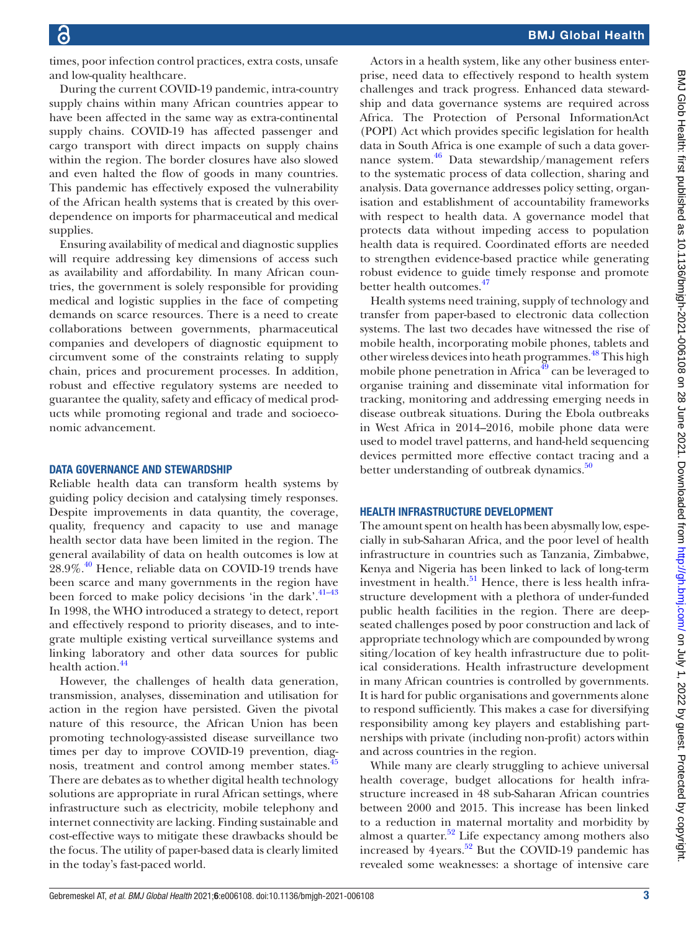times, poor infection control practices, extra costs, unsafe and low-quality healthcare.

During the current COVID-19 pandemic, intra-country supply chains within many African countries appear to have been affected in the same way as extra-continental supply chains. COVID-19 has affected passenger and cargo transport with direct impacts on supply chains within the region. The border closures have also slowed and even halted the flow of goods in many countries. This pandemic has effectively exposed the vulnerability of the African health systems that is created by this overdependence on imports for pharmaceutical and medical supplies.

Ensuring availability of medical and diagnostic supplies will require addressing key dimensions of access such as availability and affordability. In many African countries, the government is solely responsible for providing medical and logistic supplies in the face of competing demands on scarce resources. There is a need to create collaborations between governments, pharmaceutical companies and developers of diagnostic equipment to circumvent some of the constraints relating to supply chain, prices and procurement processes. In addition, robust and effective regulatory systems are needed to guarantee the quality, safety and efficacy of medical products while promoting regional and trade and socioeconomic advancement.

### DATA GOVERNANCE AND STEWARDSHIP

Reliable health data can transform health systems by guiding policy decision and catalysing timely responses. Despite improvements in data quantity, the coverage, quality, frequency and capacity to use and manage health sector data have been limited in the region. The general availability of data on health outcomes is low at 28.9%.<sup>40</sup> Hence, reliable data on COVID-19 trends have been scarce and many governments in the region have been forced to make policy decisions 'in the dark'. $41-43$ In 1998, the WHO introduced a strategy to detect, report and effectively respond to priority diseases, and to integrate multiple existing vertical surveillance systems and linking laboratory and other data sources for public health action.<sup>[44](#page-4-24)</sup>

However, the challenges of health data generation, transmission, analyses, dissemination and utilisation for action in the region have persisted. Given the pivotal nature of this resource, the African Union has been promoting technology-assisted disease surveillance two times per day to improve COVID-19 prevention, diagnosis, treatment and control among member states.<sup>4</sup> There are debates as to whether digital health technology solutions are appropriate in rural African settings, where infrastructure such as electricity, mobile telephony and internet connectivity are lacking. Finding sustainable and cost-effective ways to mitigate these drawbacks should be the focus. The utility of paper-based data is clearly limited in the today's fast-paced world.

Actors in a health system, like any other business enterprise, need data to effectively respond to health system challenges and track progress. Enhanced data stewardship and data governance systems are required across Africa. The Protection of Personal InformationAct (POPI) Act which provides specific legislation for health data in South Africa is one example of such a data governance system.<sup>46</sup> Data stewardship/management refers to the systematic process of data collection, sharing and analysis. Data governance addresses policy setting, organisation and establishment of accountability frameworks with respect to health data. A governance model that protects data without impeding access to population health data is required. Coordinated efforts are needed to strengthen evidence-based practice while generating robust evidence to guide timely response and promote better health outcomes.<sup>[47](#page-4-27)</sup>

Health systems need training, supply of technology and transfer from paper-based to electronic data collection systems. The last two decades have witnessed the rise of mobile health, incorporating mobile phones, tablets and other wireless devices into heath programmes.<sup>48</sup> This high mobile phone penetration in Africa<sup>49</sup> can be leveraged to organise training and disseminate vital information for tracking, monitoring and addressing emerging needs in disease outbreak situations. During the Ebola outbreaks in West Africa in 2014–2016, mobile phone data were used to model travel patterns, and hand-held sequencing devices permitted more effective contact tracing and a better understanding of outbreak dynamics. $50$ 

#### HEALTH INFRASTRUCTURE DEVELOPMENT

The amount spent on health has been abysmally low, especially in sub-Saharan Africa, and the poor level of health infrastructure in countries such as Tanzania, Zimbabwe, Kenya and Nigeria has been linked to lack of long-term investment in health. $51$  Hence, there is less health infrastructure development with a plethora of under-funded public health facilities in the region. There are deepseated challenges posed by poor construction and lack of appropriate technology which are compounded by wrong siting/location of key health infrastructure due to political considerations. Health infrastructure development in many African countries is controlled by governments. It is hard for public organisations and governments alone to respond sufficiently. This makes a case for diversifying responsibility among key players and establishing partnerships with private (including non-profit) actors within and across countries in the region.

While many are clearly struggling to achieve universal health coverage, budget allocations for health infrastructure increased in 48 sub-Saharan African countries between 2000 and 2015. This increase has been linked to a reduction in maternal mortality and morbidity by almost a quarter. $52$  Life expectancy among mothers also increased by 4years.<sup>52</sup> But the COVID-19 pandemic has revealed some weaknesses: a shortage of intensive care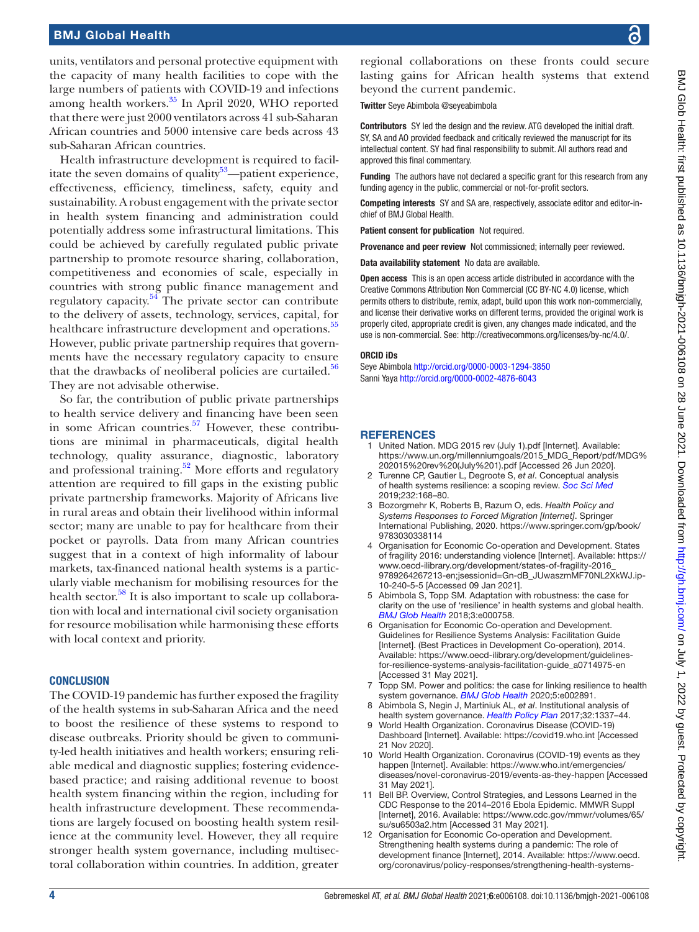Health infrastructure development is required to facil-itate the seven domains of quality<sup>[53](#page-4-33)</sup>—patient experience, effectiveness, efficiency, timeliness, safety, equity and sustainability. A robust engagement with the private sector in health system financing and administration could potentially address some infrastructural limitations. This could be achieved by carefully regulated public private partnership to promote resource sharing, collaboration, competitiveness and economies of scale, especially in countries with strong public finance management and regulatory capacity.<sup>[54](#page-4-34)</sup> The private sector can contribute to the delivery of assets, technology, services, capital, for healthcare infrastructure development and operations.<sup>[55](#page-4-35)</sup> However, public private partnership requires that governments have the necessary regulatory capacity to ensure that the drawbacks of neoliberal policies are curtailed. $56$ They are not advisable otherwise.

So far, the contribution of public private partnerships to health service delivery and financing have been seen in some African countries.<sup>57</sup> However, these contributions are minimal in pharmaceuticals, digital health technology, quality assurance, diagnostic, laboratory and professional training.<sup>52</sup> More efforts and regulatory attention are required to fill gaps in the existing public private partnership frameworks. Majority of Africans live in rural areas and obtain their livelihood within informal sector; many are unable to pay for healthcare from their pocket or payrolls. Data from many African countries suggest that in a context of high informality of labour markets, tax-financed national health systems is a particularly viable mechanism for mobilising resources for the health sector. $58$  It is also important to scale up collaboration with local and international civil society organisation for resource mobilisation while harmonising these efforts with local context and priority.

# **CONCLUSION**

The COVID-19 pandemic has further exposed the fragility of the health systems in sub-Saharan Africa and the need to boost the resilience of these systems to respond to disease outbreaks. Priority should be given to community-led health initiatives and health workers; ensuring reliable medical and diagnostic supplies; fostering evidencebased practice; and raising additional revenue to boost health system financing within the region, including for health infrastructure development. These recommendations are largely focused on boosting health system resilience at the community level. However, they all require stronger health system governance, including multisectoral collaboration within countries. In addition, greater

regional collaborations on these fronts could secure lasting gains for African health systems that extend beyond the current pandemic.

Twitter Seye Abimbola [@seyeabimbola](https://twitter.com/seyeabimbola)

Contributors SY led the design and the review. ATG developed the initial draft. SY, SA and AO provided feedback and critically reviewed the manuscript for its intellectual content. SY had final responsibility to submit. All authors read and approved this final commentary.

Funding The authors have not declared a specific grant for this research from any funding agency in the public, commercial or not-for-profit sectors.

Competing interests SY and SA are, respectively, associate editor and editor-inchief of BMJ Global Health.

Patient consent for publication Not required.

Provenance and peer review Not commissioned; internally peer reviewed.

Data availability statement No data are available.

Open access This is an open access article distributed in accordance with the Creative Commons Attribution Non Commercial (CC BY-NC 4.0) license, which permits others to distribute, remix, adapt, build upon this work non-commercially, and license their derivative works on different terms, provided the original work is properly cited, appropriate credit is given, any changes made indicated, and the use is non-commercial. See: [http://creativecommons.org/licenses/by-nc/4.0/.](http://creativecommons.org/licenses/by-nc/4.0/)

#### ORCID iDs

Seye Abimbola <http://orcid.org/0000-0003-1294-3850> Sanni Yaya<http://orcid.org/0000-0002-4876-6043>

### **REFERENCES**

- <span id="page-3-0"></span>United Nation. MDG 2015 rev (July 1).pdf [Internet]. Available: [https://www.un.org/millenniumgoals/2015\\_MDG\\_Report/pdf/MDG%](https://www.un.org/millenniumgoals/2015_MDG_Report/pdf/MDG%202015%20rev%20(July%201).pdf) [202015%20rev%20\(July%201\).pdf](https://www.un.org/millenniumgoals/2015_MDG_Report/pdf/MDG%202015%20rev%20(July%201).pdf) [Accessed 26 Jun 2020].
- <span id="page-3-1"></span>2 Turenne CP, Gautier L, Degroote S, *et al*. Conceptual analysis of health systems resilience: a scoping review. *[Soc Sci Med](http://dx.doi.org/10.1016/j.socscimed.2019.04.020)* 2019;232:168–80.
- 3 Bozorgmehr K, Roberts B, Razum O, eds. *Health Policy and Systems Responses to Forced Migration [Internet]*. Springer International Publishing, 2020. [https://www.springer.com/gp/book/](https://www.springer.com/gp/book/9783030338114) [9783030338114](https://www.springer.com/gp/book/9783030338114)
- <span id="page-3-2"></span>4 Organisation for Economic Co-operation and Development. States of fragility 2016: understanding violence [Internet]. Available: [https://](https://www.oecd-ilibrary.org/development/states-of-fragility-2016_9789264267213-en;jsessionid=Gn-dB_JUwaszmMF70NL2XkWJ.ip-10-240-5-5) [www.oecd-ilibrary.org/development/states-of-fragility-2016\\_](https://www.oecd-ilibrary.org/development/states-of-fragility-2016_9789264267213-en;jsessionid=Gn-dB_JUwaszmMF70NL2XkWJ.ip-10-240-5-5) [9789264267213-en;jsessionid=Gn-dB\\_JUwaszmMF70NL2XkWJ.ip-](https://www.oecd-ilibrary.org/development/states-of-fragility-2016_9789264267213-en;jsessionid=Gn-dB_JUwaszmMF70NL2XkWJ.ip-10-240-5-5)[10-240-5-5](https://www.oecd-ilibrary.org/development/states-of-fragility-2016_9789264267213-en;jsessionid=Gn-dB_JUwaszmMF70NL2XkWJ.ip-10-240-5-5) [Accessed 09 Jan 2021].
- <span id="page-3-3"></span>5 Abimbola S, Topp SM. Adaptation with robustness: the case for clarity on the use of 'resilience' in health systems and global health. *[BMJ Glob Health](http://dx.doi.org/10.1136/bmjgh-2018-000758)* 2018;3:e000758.
- <span id="page-3-4"></span>6 Organisation for Economic Co-operation and Development. Guidelines for Resilience Systems Analysis: Facilitation Guide [Internet]. (Best Practices in Development Co-operation), 2014. Available: [https://www.oecd-ilibrary.org/development/guidelines](https://www.oecd-ilibrary.org/development/guidelines-for-resilience-systems-analysis-facilitation-guide_a0714975-en)[for-resilience-systems-analysis-facilitation-guide\\_a0714975-en](https://www.oecd-ilibrary.org/development/guidelines-for-resilience-systems-analysis-facilitation-guide_a0714975-en)  [Accessed 31 May 2021].
- <span id="page-3-5"></span>7 Topp SM. Power and politics: the case for linking resilience to health system governance. *[BMJ Glob Health](http://dx.doi.org/10.1136/bmjgh-2020-002891)* 2020;5:e002891.
- <span id="page-3-6"></span>8 Abimbola S, Negin J, Martiniuk AL, *et al*. Institutional analysis of health system governance. *[Health Policy Plan](http://dx.doi.org/10.1093/heapol/czx083)* 2017;32:1337–44.
- <span id="page-3-7"></span>9 World Health Organization. Coronavirus Disease (COVID-19) Dashboard [Internet]. Available: <https://covid19.who.int>[Accessed 21 Nov 2020].
- <span id="page-3-8"></span>World Health Organization. Coronavirus (COVID-19) events as they happen [Internet]. Available: [https://www.who.int/emergencies/](https://www.who.int/emergencies/diseases/novel-coronavirus-2019/events-as-they-happen) [diseases/novel-coronavirus-2019/events-as-they-happen](https://www.who.int/emergencies/diseases/novel-coronavirus-2019/events-as-they-happen) [Accessed 31 May 2021].
- <span id="page-3-9"></span>11 Bell BP. Overview, Control Strategies, and Lessons Learned in the CDC Response to the 2014–2016 Ebola Epidemic. MMWR Suppl [Internet], 2016. Available: [https://www.cdc.gov/mmwr/volumes/65/](https://www.cdc.gov/mmwr/volumes/65/su/su6503a2.htm) [su/su6503a2.htm](https://www.cdc.gov/mmwr/volumes/65/su/su6503a2.htm) [Accessed 31 May 2021].
- <span id="page-3-10"></span>12 Organisation for Economic Co-operation and Development. Strengthening health systems during a pandemic: The role of development finance [Internet], 2014. Available: [https://www.oecd.](https://www.oecd.org/coronavirus/policy-responses/strengthening-health-systems-during-a-pandemic-the-role-of-development-finance-f762bf1c/) [org/coronavirus/policy-responses/strengthening-health-systems-](https://www.oecd.org/coronavirus/policy-responses/strengthening-health-systems-during-a-pandemic-the-role-of-development-finance-f762bf1c/)